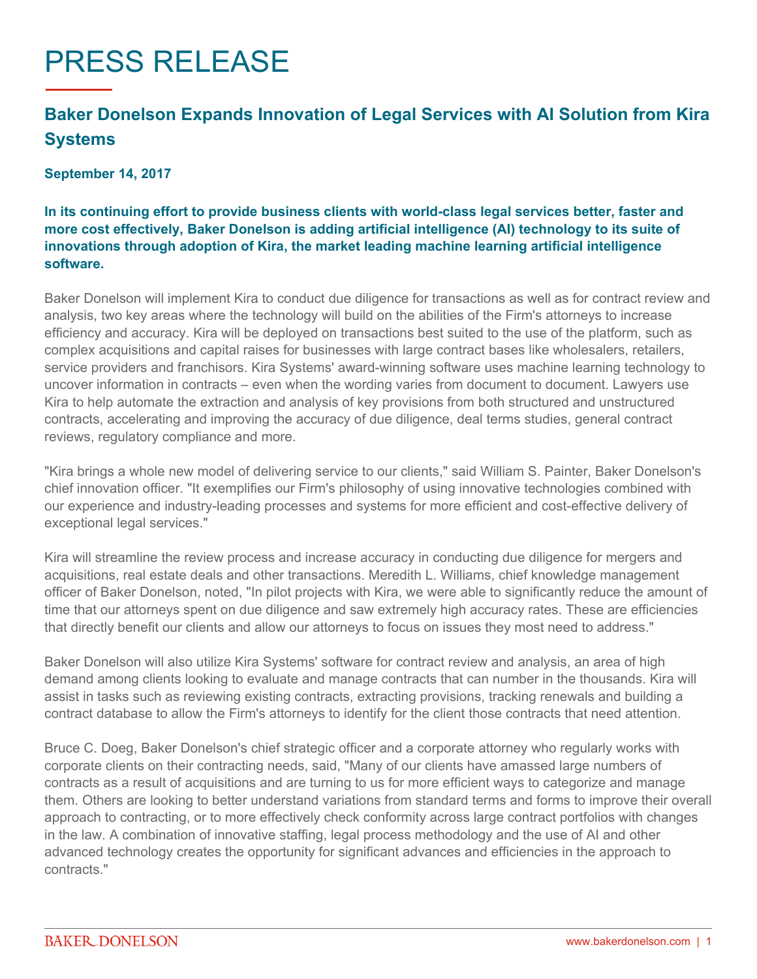# PRESS RELEASE

# **Baker Donelson Expands Innovation of Legal Services with AI Solution from Kira Systems**

#### **September 14, 2017**

## **In its continuing effort to provide business clients with world-class legal services better, faster and more cost effectively, Baker Donelson is adding artificial intelligence (AI) technology to its suite of innovations through adoption of Kira, the market leading machine learning artificial intelligence software.**

Baker Donelson will implement Kira to conduct due diligence for transactions as well as for contract review and analysis, two key areas where the technology will build on the abilities of the Firm's attorneys to increase efficiency and accuracy. Kira will be deployed on transactions best suited to the use of the platform, such as complex acquisitions and capital raises for businesses with large contract bases like wholesalers, retailers, service providers and franchisors. Kira Systems' award-winning software uses machine learning technology to uncover information in contracts – even when the wording varies from document to document. Lawyers use Kira to help automate the extraction and analysis of key provisions from both structured and unstructured contracts, accelerating and improving the accuracy of due diligence, deal terms studies, general contract reviews, regulatory compliance and more.

"Kira brings a whole new model of delivering service to our clients," said William S. Painter, Baker Donelson's chief innovation officer. "It exemplifies our Firm's philosophy of using innovative technologies combined with our experience and industry-leading processes and systems for more efficient and cost-effective delivery of exceptional legal services."

Kira will streamline the review process and increase accuracy in conducting due diligence for mergers and acquisitions, real estate deals and other transactions. Meredith L. Williams, chief knowledge management officer of Baker Donelson, noted, "In pilot projects with Kira, we were able to significantly reduce the amount of time that our attorneys spent on due diligence and saw extremely high accuracy rates. These are efficiencies that directly benefit our clients and allow our attorneys to focus on issues they most need to address."

Baker Donelson will also utilize Kira Systems' software for contract review and analysis, an area of high demand among clients looking to evaluate and manage contracts that can number in the thousands. Kira will assist in tasks such as reviewing existing contracts, extracting provisions, tracking renewals and building a contract database to allow the Firm's attorneys to identify for the client those contracts that need attention.

Bruce C. Doeg, Baker Donelson's chief strategic officer and a corporate attorney who regularly works with corporate clients on their contracting needs, said, "Many of our clients have amassed large numbers of contracts as a result of acquisitions and are turning to us for more efficient ways to categorize and manage them. Others are looking to better understand variations from standard terms and forms to improve their overall approach to contracting, or to more effectively check conformity across large contract portfolios with changes in the law. A combination of innovative staffing, legal process methodology and the use of AI and other advanced technology creates the opportunity for significant advances and efficiencies in the approach to contracts."